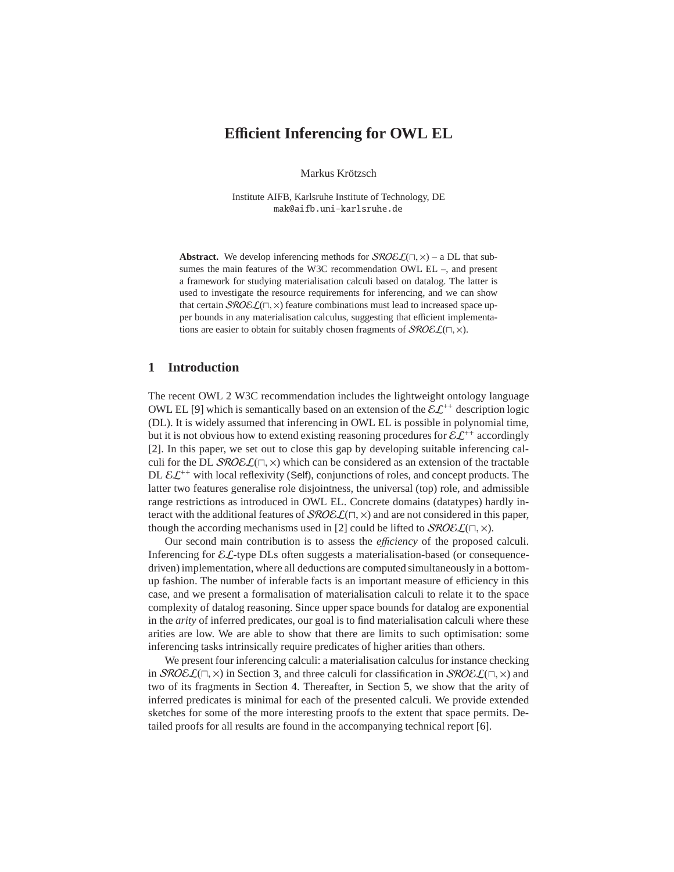# **E**ffi**cient Inferencing for OWL EL**

Markus Krötzsch

Institute AIFB, Karlsruhe Institute of Technology, DE mak@aifb.uni-karlsruhe.de

**Abstract.** We develop inferencing methods for  $\mathcal{SROEL}(\Pi, x)$  – a DL that subsumes the main features of the W3C recommendation OWL EL –, and present a framework for studying materialisation calculi based on datalog. The latter is used to investigate the resource requirements for inferencing, and we can show that certain  $\mathcal{SROEL}(\sqcap, \times)$  feature combinations must lead to increased space upper bounds in any materialisation calculus, suggesting that efficient implementations are easier to obtain for suitably chosen fragments of  $\mathcal{SRO}\&\mathcal{L}(\sqcap, \times)$ .

### **1 Introduction**

The recent OWL 2 W3C recommendation includes the lightweight ontology language OWL EL [\[9\]](#page-12-0) which is semantically based on an extension of the  $\mathcal{E}L^{++}$  description logic (DL). It is widely assumed that inferencing in OWL EL is possible in polynomial time, but it is not obvious how to extend existing reasoning procedures for  $\mathcal{EL}^{++}$  accordingly [\[2\]](#page-12-1). In this paper, we set out to close this gap by developing suitable inferencing calculi for the DL  $\mathcal{SROEL}(\sqcap, \times)$  which can be considered as an extension of the tractable DL  $\mathcal{EL}^{++}$  with local reflexivity (Self), conjunctions of roles, and concept products. The latter two features generalise role disjointness, the universal (top) role, and admissible range restrictions as introduced in OWL EL. Concrete domains (datatypes) hardly interact with the additional features of  $\mathcal{SROEL}(\sqcap, \times)$  and are not considered in this paper, though the according mechanisms used in [\[2\]](#page-12-1) could be lifted to  $\mathcal{SRO}\&\mathcal{L}(\sqcap, \times)$ .

Our second main contribution is to assess the *e*ffi*ciency* of the proposed calculi. Inferencing for  $\mathcal{EL}$ -type DLs often suggests a materialisation-based (or consequencedriven) implementation, where all deductions are computed simultaneously in a bottomup fashion. The number of inferable facts is an important measure of efficiency in this case, and we present a formalisation of materialisation calculi to relate it to the space complexity of datalog reasoning. Since upper space bounds for datalog are exponential in the *arity* of inferred predicates, our goal is to find materialisation calculi where these arities are low. We are able to show that there are limits to such optimisation: some inferencing tasks intrinsically require predicates of higher arities than others.

We present four inferencing calculi: a materialisation calculus for instance checking in  $SROE\mathcal{L}(\Pi, \times)$  in Section [3,](#page-2-0) and three calculi for classification in  $SROE\mathcal{L}(\Pi, \times)$  and two of its fragments in Section [4.](#page-5-0) Thereafter, in Section [5,](#page-7-0) we show that the arity of inferred predicates is minimal for each of the presented calculi. We provide extended sketches for some of the more interesting proofs to the extent that space permits. Detailed proofs for all results are found in the accompanying technical report [\[6\]](#page-12-2).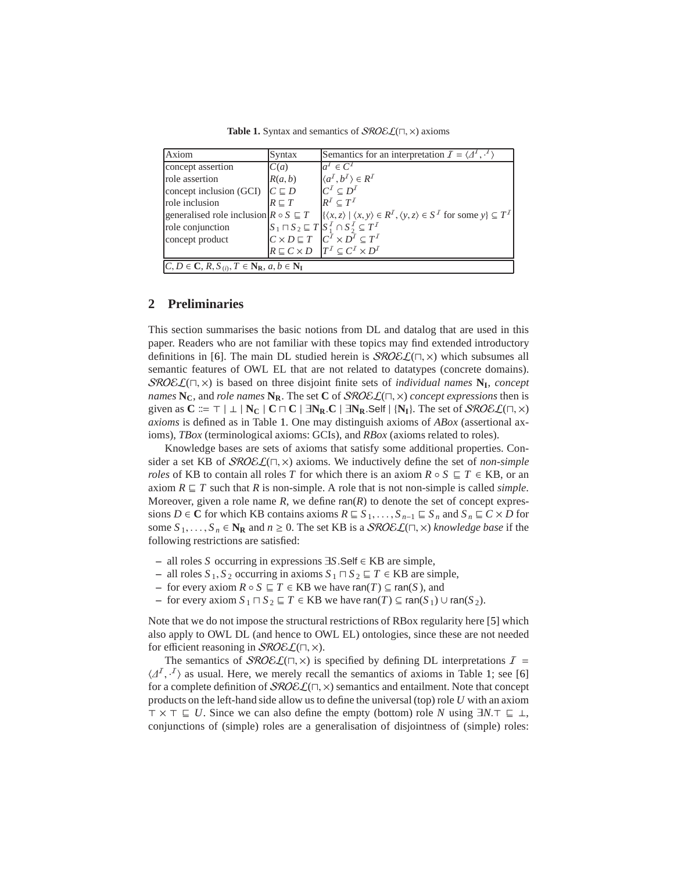Table 1. Syntax and semantics of *SROE* £( $\sqcap$ ,  $\times$ ) axioms

<span id="page-1-0"></span>

| Axiom                                                                                              | Syntax            | Semantics for an interpretation $\mathcal{I} = \langle \Delta^1, \cdot^1 \rangle$                                              |
|----------------------------------------------------------------------------------------------------|-------------------|--------------------------------------------------------------------------------------------------------------------------------|
| concept assertion                                                                                  | C(a)              | $a^I \in \overline{C^I}$                                                                                                       |
| role assertion                                                                                     | R(a, b)           | $\langle a^I, b^I \rangle \in R^I$                                                                                             |
| concept inclusion (GCI)                                                                            | $C \sqsubseteq D$ | $C^I \subseteq D^I$                                                                                                            |
| role inclusion                                                                                     | $R \sqsubset T$   | $R^I\subset T^I$                                                                                                               |
| generalised role inclusion $R \circ S \subseteq T$                                                 |                   | $\{ \langle x, z \rangle \mid \langle x, y \rangle \in R^I, \langle y, z \rangle \in S^I \text{ for some } y \} \subseteq T^I$ |
| role conjunction                                                                                   |                   | $S_1 \sqcap S_2 \sqsubseteq T$ $S_1^{\cal I} \cap S_2^{\cal I} \subseteq T^{\cal I}$                                           |
| concept product                                                                                    |                   | $C \times D \sqsubseteq T$ $C^{\overline{I}} \times D^{\overline{I}} \subseteq T^{\overline{I}}$                               |
|                                                                                                    |                   | $R \sqsubseteq C \times D$ $T^I \subseteq C^I \times D^I$                                                                      |
| $C, D \in \mathbb{C}, R, S_{(i)}, T \in \mathbb{N}_{\mathbb{R}}, a, b \in \mathbb{N}_{\mathbb{I}}$ |                   |                                                                                                                                |

### **2 Preliminaries**

This section summarises the basic notions from DL and datalog that are used in this paper. Readers who are not familiar with these topics may find extended introductory definitions in [\[6\]](#page-12-2). The main DL studied herein is  $\mathcal{SRO}\mathcal{EL}(\square, \times)$  which subsumes all semantic features of OWL EL that are not related to datatypes (concrete domains). SROEL(⊓, ×) is based on three disjoint finite sets of *individual names* **N<sup>I</sup>** , *concept names* **NC**, and *role names* **NR**. The set **C** of SROEL(⊓, ×) *concept expressions* then is given as  $C \coloneqq \top | \bot | N_C | C \sqcap C | \exists N_R.C | \exists N_R. \text{Self } | {N_I}.$  The set of  $\text{SROEL}(\sqcap, \times)$ *axioms* is defined as in Table [1.](#page-1-0) One may distinguish axioms of *ABox* (assertional axioms), *TBox* (terminological axioms: GCIs), and *RBox* (axioms related to roles).

Knowledge bases are sets of axioms that satisfy some additional properties. Consider a set KB of SROEL(⊓, ×) axioms. We inductively define the set of *non-simple roles* of KB to contain all roles *T* for which there is an axiom  $R \circ S \subseteq T \in KB$ , or an axiom  $R \subseteq T$  such that R is non-simple. A role that is not non-simple is called *simple*. Moreover, given a role name  $R$ , we define  $ran(R)$  to denote the set of concept expressions *D* ∈ **C** for which KB contains axioms  $R \subseteq S_1, \ldots, S_{n-1} \subseteq S_n$  and  $S_n \subseteq C \times D$  for some  $S_1, \ldots, S_n \in \mathbb{N}_\mathbb{R}$  and  $n \geq 0$ . The set KB is a  $\mathcal{SROEL}(\square, \times)$  *knowledge base* if the following restrictions are satisfied:

- **–** all roles *S* occurring in expressions ∃*S*.Self ∈ KB are simple,
- **–** all roles *S* <sup>1</sup>, *S* <sup>2</sup> occurring in axioms *S* <sup>1</sup> ⊓ *S* <sup>2</sup> ⊑ *T* ∈ KB are simple,
- **–** for every axiom  $R \circ S \subseteq T \in KB$  we have ran(*T*) ⊆ ran(*S*), and
- $-$  for every axiom  $S_1 \sqcap S_2 \sqsubseteq T \in KB$  we have ran(*T*) ⊆ ran( $S_1$ ) ∪ ran( $S_2$ ).

Note that we do not impose the structural restrictions of RBox regularity here [\[5\]](#page-12-3) which also apply to OWL DL (and hence to OWL EL) ontologies, since these are not needed for efficient reasoning in *SROE* £( $\sqcap$ , ×).

The semantics of  $\mathcal{SROEL}(\Pi, \times)$  is specified by defining DL interpretations  $I =$  $\langle A^I, A^J \rangle$  as usual. Here, we merely recall the semantics of axioms in Table [1;](#page-1-0) see [\[6\]](#page-12-2) for a complete definition of  $\mathcal{SRO}\mathcal{EL}(\square, \times)$  semantics and entailment. Note that concept products on the left-hand side allow us to define the universal (top) role *U* with an axiom ⊤ × ⊤ ⊑ *U*. Since we can also define the empty (bottom) role *N* using ∃*N*.⊤ ⊑ ⊥, conjunctions of (simple) roles are a generalisation of disjointness of (simple) roles: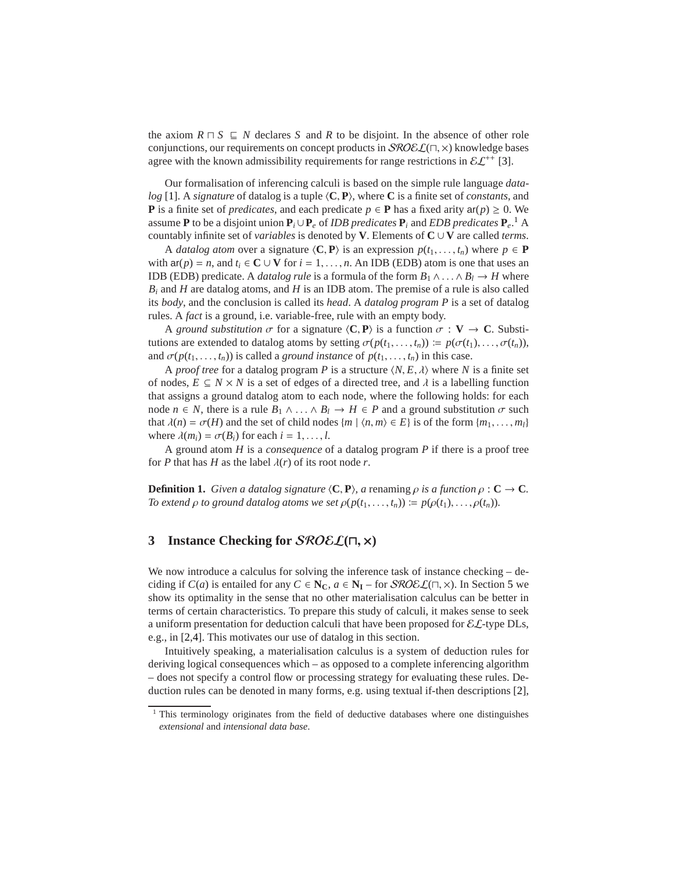the axiom  $R \sqcap S \sqsubseteq N$  declares *S* and *R* to be disjoint. In the absence of other role conjunctions, our requirements on concept products in  $\mathcal{SROEL}(\square, \times)$  knowledge bases agree with the known admissibility requirements for range restrictions in  $\mathcal{EL}^{++}$  [\[3\]](#page-12-4).

Our formalisation of inferencing calculi is based on the simple rule language *datalog* [\[1\]](#page-12-5). A *signature* of datalog is a tuple h**C**, **P**i, where **C** is a finite set of *constants*, and **P** is a finite set of *predicates*, and each predicate  $p \in \mathbf{P}$  has a fixed arity  $ar(p) \ge 0$ . We assume **P** to be a disjoint union  $P_i \cup P_e$  of *IDB predicates*  $P_i$  and *EDB predicates*  $P_e$ .<sup>[1](#page-2-1)</sup> A countably infinite set of *variables* is denoted by **V**. Elements of  $C \cup V$  are called *terms*.

A *datalog atom* over a signature  $\langle C, P \rangle$  is an expression  $p(t_1, \ldots, t_n)$  where  $p \in P$ with  $ar(p) = n$ , and  $t_i \in \mathbb{C} \cup \mathbb{V}$  for  $i = 1, ..., n$ . An IDB (EDB) atom is one that uses an IDB (EDB) predicate. A *datalog rule* is a formula of the form  $B_1 \wedge \ldots \wedge B_l \rightarrow H$  where *B<sup>i</sup>* and *H* are datalog atoms, and *H* is an IDB atom. The premise of a rule is also called its *body*, and the conclusion is called its *head*. A *datalog program P* is a set of datalog rules. A *fact* is a ground, i.e. variable-free, rule with an empty body.

A *ground substitution*  $\sigma$  for a signature  $\langle C, P \rangle$  is a function  $\sigma : V \to C$ . Substitutions are extended to datalog atoms by setting  $\sigma(p(t_1, \ldots, t_n)) \coloneqq p(\sigma(t_1), \ldots, \sigma(t_n)),$ and  $\sigma(p(t_1, \ldots, t_n))$  is called a *ground instance* of  $p(t_1, \ldots, t_n)$  in this case.

A *proof tree* for a datalog program *P* is a structure  $\langle N, E, \lambda \rangle$  where *N* is a finite set of nodes,  $E \subseteq N \times N$  is a set of edges of a directed tree, and  $\lambda$  is a labelling function that assigns a ground datalog atom to each node, where the following holds: for each node  $n \in N$ , there is a rule  $B_1 \wedge \ldots \wedge B_l \rightarrow H \in P$  and a ground substitution  $\sigma$  such that  $\lambda(n) = \sigma(H)$  and the set of child nodes  $\{m \mid \langle n, m \rangle \in E\}$  is of the form  $\{m_1, \ldots, m_l\}$ where  $\lambda(m_i) = \sigma(B_i)$  for each  $i = 1, \ldots, l$ .

A ground atom *H* is a *consequence* of a datalog program *P* if there is a proof tree for *P* that has *H* as the label  $\lambda(r)$  of its root node *r*.

**Definition 1.** *Given a datalog signature*  $\langle C, P \rangle$ *, a* renaming  $\rho$  *is a function*  $\rho : C \to C$ *. To extend*  $\rho$  *to ground datalog atoms we set*  $\rho(p(t_1, \ldots, t_n)) \coloneqq p(\rho(t_1), \ldots, \rho(t_n)).$ 

### <span id="page-2-0"></span>**3 Instance Checking for** SROEL**(**⊓, <sup>×</sup>**)**

We now introduce a calculus for solving the inference task of instance checking – deciding if *C*(*a*) is entailed for any  $C \in \mathbb{N}_{\mathbb{C}}$ ,  $a \in \mathbb{N}_{\mathbb{I}}$  – for  $\mathcal{SROEL}(\square, \times)$ . In Section [5](#page-7-0) we show its optimality in the sense that no other materialisation calculus can be better in terms of certain characteristics. To prepare this study of calculi, it makes sense to seek a uniform presentation for deduction calculi that have been proposed for  $\mathcal{EL}$ -type DLs, e.g., in [\[2,](#page-12-1)[4\]](#page-12-6). This motivates our use of datalog in this section.

Intuitively speaking, a materialisation calculus is a system of deduction rules for deriving logical consequences which – as opposed to a complete inferencing algorithm – does not specify a control flow or processing strategy for evaluating these rules. Deduction rules can be denoted in many forms, e.g. using textual if-then descriptions [\[2\]](#page-12-1),

<span id="page-2-1"></span><sup>&</sup>lt;sup>1</sup> This terminology originates from the field of deductive databases where one distinguishes *extensional* and *intensional data base*.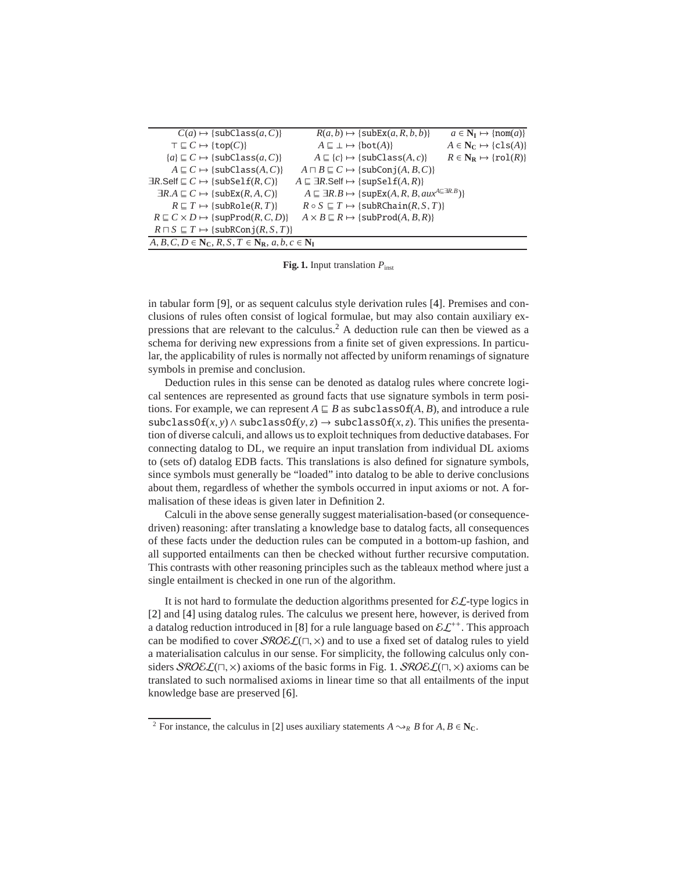| $C(a) \mapsto \{subClass(a, C)\}\$                                                                                 | $R(a, b) \mapsto \{subEx(a, R, b, b)\}\$                                                     | $a \in \mathbb{N}_{\mathbf{I}} \mapsto \{\text{nom}(a)\}\$  |
|--------------------------------------------------------------------------------------------------------------------|----------------------------------------------------------------------------------------------|-------------------------------------------------------------|
| $T \sqsubseteq C \mapsto \{top(C)\}$                                                                               | $A \sqsubseteq \bot \mapsto \{bot(A)\}$                                                      | $A \in \mathbb{N}_{\mathbb{C}} \mapsto \{ \text{cls}(A) \}$ |
| ${a} \sqsubseteq C \mapsto {subClass(a, C)}$                                                                       | $A \sqsubseteq \{c\} \mapsto \{\text{subClass}(A, c)\}\$                                     | $R \in N_R \mapsto \{ \text{rol}(R) \}$                     |
| $A \sqsubseteq C \mapsto \{subClass(A, C)\}\$                                                                      | $A \sqcap B \sqsubseteq C \mapsto \{subConj(A, B, C)\}\$                                     |                                                             |
| $\exists R.\mathsf{Self} \sqsubseteq C \mapsto \{\mathsf{subSelf}(R,C)\}\$                                         | $A \sqsubseteq \exists R$ .Self $\mapsto$ {supSelf(A, R)}                                    |                                                             |
| $\exists R.A \sqsubseteq C \mapsto \{\text{subEx}(R,A,C)\}\$                                                       | $A \subseteq \exists R.B \mapsto \{ \text{supEx}(A, R, B, aux^{A \subseteq \exists R.B}) \}$ |                                                             |
| $R \sqsubseteq T \mapsto \{subRole(R,T)\}\$                                                                        | $R \circ S \subseteq T \mapsto \{\text{subRChain}(R, S, T)\}\$                               |                                                             |
| $R \sqsubseteq C \times D \mapsto \{ \text{supProd}(R, C, D) \}$                                                   | $A \times B \sqsubseteq R \mapsto \{subProd(A, B, R)\}\$                                     |                                                             |
| $R \sqcap S \sqsubseteq T \mapsto \{subRConj(R,S,T)\}\$                                                            |                                                                                              |                                                             |
| $A, B, C, D \in \mathbb{N}_{\mathbb{C}}, R, S, T \in \mathbb{N}_{\mathbb{R}}, a, b, c \in \mathbb{N}_{\mathbb{I}}$ |                                                                                              |                                                             |

<span id="page-3-1"></span>Fig. 1. Input translation  $P_{\text{inst}}$ 

in tabular form [\[9\]](#page-12-0), or as sequent calculus style derivation rules [\[4\]](#page-12-6). Premises and conclusions of rules often consist of logical formulae, but may also contain auxiliary expressions that are relevant to the calculus.[2](#page-3-0) A deduction rule can then be viewed as a schema for deriving new expressions from a finite set of given expressions. In particular, the applicability of rules is normally not affected by uniform renamings of signature symbols in premise and conclusion.

Deduction rules in this sense can be denoted as datalog rules where concrete logical sentences are represented as ground facts that use signature symbols in term positions. For example, we can represent  $A \subseteq B$  as subclassOf( $A, B$ ), and introduce a rule subclassOf(*x*, *y*)  $\land$  subclassOf(*y*, *z*)  $\rightarrow$  subclassOf(*x*, *z*). This unifies the presentation of diverse calculi, and allows us to exploit techniques from deductive databases. For connecting datalog to DL, we require an input translation from individual DL axioms to (sets of) datalog EDB facts. This translations is also defined for signature symbols, since symbols must generally be "loaded" into datalog to be able to derive conclusions about them, regardless of whether the symbols occurred in input axioms or not. A formalisation of these ideas is given later in Definition [2.](#page-7-1)

Calculi in the above sense generally suggest materialisation-based (or consequencedriven) reasoning: after translating a knowledge base to datalog facts, all consequences of these facts under the deduction rules can be computed in a bottom-up fashion, and all supported entailments can then be checked without further recursive computation. This contrasts with other reasoning principles such as the tableaux method where just a single entailment is checked in one run of the algorithm.

It is not hard to formulate the deduction algorithms presented for  $\mathcal{EL}$ -type logics in [\[2\]](#page-12-1) and [\[4\]](#page-12-6) using datalog rules. The calculus we present here, however, is derived from a datalog reduction introduced in [\[8\]](#page-12-7) for a rule language based on  $\mathcal{E}L^{++}$ . This approach can be modified to cover  $\mathcal{SROEL}(\Pi, x)$  and to use a fixed set of datalog rules to yield a materialisation calculus in our sense. For simplicity, the following calculus only considers  $SROEL(\Pi, x)$  axioms of the basic forms in Fig. [1.](#page-3-1)  $SROEL(\Pi, x)$  axioms can be translated to such normalised axioms in linear time so that all entailments of the input knowledge base are preserved [\[6\]](#page-12-2).

<span id="page-3-2"></span><span id="page-3-0"></span><sup>&</sup>lt;sup>2</sup> For instance, the calculus in [\[2\]](#page-12-1) uses auxiliary statements  $A \rightarrow_R B$  for  $A, B \in \mathbb{N}_C$ .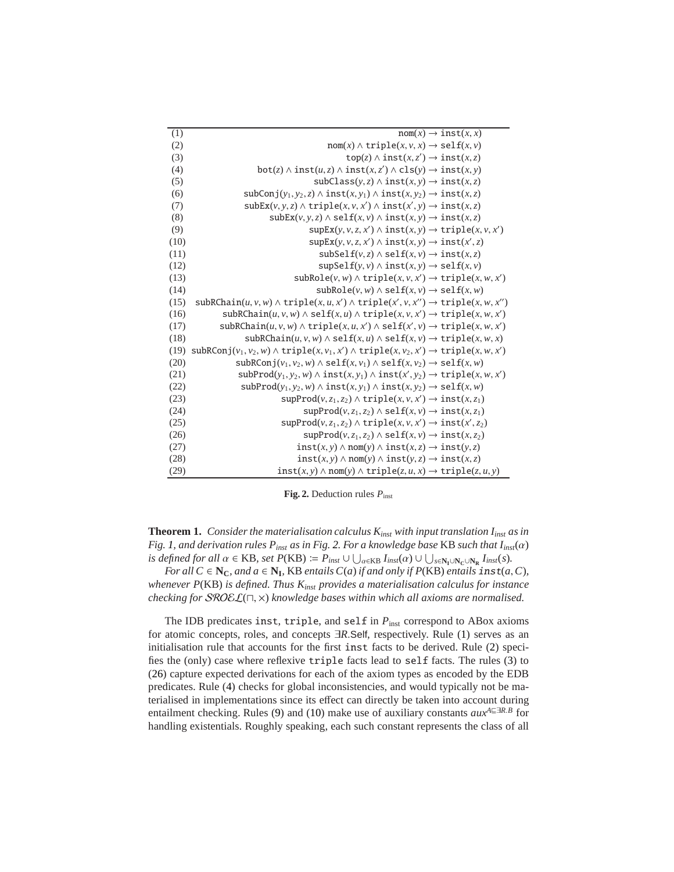<span id="page-4-15"></span><span id="page-4-7"></span><span id="page-4-6"></span><span id="page-4-5"></span><span id="page-4-3"></span><span id="page-4-2"></span><span id="page-4-1"></span>

| (1)  | $nom(x) \rightarrow inst(x, x)$                                                                                   |
|------|-------------------------------------------------------------------------------------------------------------------|
| (2)  | $\text{nom}(x) \wedge \text{triple}(x, y, x) \rightarrow \text{self}(x, y)$                                       |
| (3)  | $top(z) \wedge inst(x, z') \rightarrow inst(x, z)$                                                                |
| (4)  | $bot(z) \wedge inst(u, z) \wedge inst(x, z') \wedge cls(v) \rightarrow inst(x, y)$                                |
| (5)  | $subClass(y, z) \wedge inst(x, y) \rightarrow inst(x, z)$                                                         |
| (6)  | $\text{subConj}(y_1, y_2, z) \wedge \text{inst}(x, y_1) \wedge \text{inst}(x, y_2) \rightarrow \text{inst}(x, z)$ |
| (7)  | $subEx(v, y, z) \wedge triple(x, y, x') \wedge inst(x', y) \rightarrow inst(x, z)$                                |
| (8)  | $subEx(v, y, z) \wedge self(x, v) \wedge inst(x, y) \rightarrow inst(x, z)$                                       |
| (9)  | $supEx(y, y, z, x') \wedge inst(x, y) \rightarrow triple(x, y, x')$                                               |
| (10) | $supEx(y, y, z, x') \wedge inst(x, y) \rightarrow inst(x', z)$                                                    |
| (11) | $subSelf(v, z) \wedge self(x, v) \rightarrow inst(x, z)$                                                          |
| (12) | $\text{supSelf}(y, y) \wedge \text{inst}(x, y) \rightarrow \text{self}(x, y)$                                     |
| (13) | $subRole(v, w) \wedge triple(x, v, x') \rightarrow triple(x, w, x')$                                              |
| (14) | $subRole(v, w) \wedge self(x, v) \rightarrow self(x, w)$                                                          |
| (15) | $subRChain(u, v, w) \wedge triple(x, u, x') \wedge triple(x', v, x'') \rightarrow triple(x, w, x')$               |
| (16) | $subRChain(u, v, w) \wedge self(x, u) \wedge triple(x, v, x') \rightarrow triple(x, w, x')$                       |
| (17) | $subRChain(u, v, w) \wedge triple(x, u, x') \wedge self(x', v) \rightarrow triple(x, w, x')$                      |
| (18) | $\text{subRChain}(u, v, w) \wedge \text{self}(x, u) \wedge \text{self}(x, v) \rightarrow \text{triple}(x, w, x)$  |
| (19) | $subRConj(v_1, v_2, w) \wedge triple(x, v_1, x') \wedge triple(x, v_2, x') \rightarrow triple(x, w, x')$          |
| (20) | $subRConj(v_1, v_2, w) \wedge self(x, v_1) \wedge self(x, v_2) \rightarrow self(x, w)$                            |
| (21) | $subProd(y_1, y_2, w) \wedge inst(x, y_1) \wedge inst(x', y_2) \rightarrow triple(x, w, x')$                      |
| (22) | $subProd(y_1, y_2, w) \wedge inst(x, y_1) \wedge inst(x, y_2) \rightarrow self(x, w)$                             |
| (23) | $supProd(v, z_1, z_2) \wedge triple(x, v, x') \rightarrow inst(x, z_1)$                                           |
| (24) | $supProd(v, z_1, z_2) \wedge self(x, v) \rightarrow inst(x, z_1)$                                                 |
| (25) | $supProd(v, z_1, z_2) \wedge triple(x, v, x') \rightarrow inst(x', z_2)$                                          |
| (26) | $supProd(v, z_1, z_2) \wedge self(x, v) \rightarrow inst(x, z_2)$                                                 |
| (27) | $inst(x, y) \wedge nom(y) \wedge inst(x, z) \rightarrow inst(y, z)$                                               |
| (28) | $inst(x, y) \wedge nom(y) \wedge inst(y, z) \rightarrow inst(x, z)$                                               |
| (29) | $inst(x, y) \wedge nom(y) \wedge triple(z, u, x) \rightarrow triple(z, u, y)$                                     |

<span id="page-4-0"></span>**Fig. 2.** Deduction rules  $P_{\text{inst}}$ 

<span id="page-4-17"></span><span id="page-4-16"></span><span id="page-4-14"></span><span id="page-4-13"></span><span id="page-4-12"></span><span id="page-4-11"></span><span id="page-4-10"></span><span id="page-4-9"></span><span id="page-4-8"></span><span id="page-4-4"></span>**Theorem 1.** *Consider the materialisation calculus*  $K_{inst}$  *with input translation*  $I_{inst}$  *as in Fig. [1,](#page-3-1)* and derivation rules  $P_{inst}$  as in Fig. [2.](#page-4-0) For a knowledge base KB such that  $I_{inst}(\alpha)$  $i$ *s defined for all*  $\alpha \in \text{KB}$ *, set*  $P(\text{KB}) \coloneqq P_{\text{inst}} \cup \bigcup_{\alpha \in \text{KB}} I_{\text{inst}}(\alpha) \cup \bigcup_{s \in \text{N}_\text{I} \cup \text{N}_\text{C} \cup \text{N}_\text{R}} I_{\text{inst}}(s)$ *.* 

*For all*  $C \in \mathbb{N}_C$ *, and*  $a \in \mathbb{N}_I$ *,* KB *entails*  $C(a)$  *if and only if*  $P(KB)$  *entails*  $\text{inst}(a, C)$ *, whenever P*(KB) *is defined. Thus Kinst provides a materialisation calculus for instance checking for* SROEL(⊓, ×) *knowledge bases within which all axioms are normalised.*

The IDB predicates inst, triple, and self in  $P_{\text{inst}}$  correspond to ABox axioms for atomic concepts, roles, and concepts ∃*R*.Self, respectively. Rule [\(1\)](#page-4-1) serves as an initialisation rule that accounts for the first inst facts to be derived. Rule [\(2\)](#page-4-2) specifies the (only) case where reflexive triple facts lead to self facts. The rules [\(3\)](#page-4-3) to [\(26\)](#page-4-4) capture expected derivations for each of the axiom types as encoded by the EDB predicates. Rule [\(4\)](#page-4-5) checks for global inconsistencies, and would typically not be materialised in implementations since its effect can directly be taken into account during entailment checking. Rules [\(9\)](#page-4-6) and [\(10\)](#page-4-7) make use of auxiliary constants *aux<sup>A</sup>*⊑∃*R*.*<sup>B</sup>* for handling existentials. Roughly speaking, each such constant represents the class of all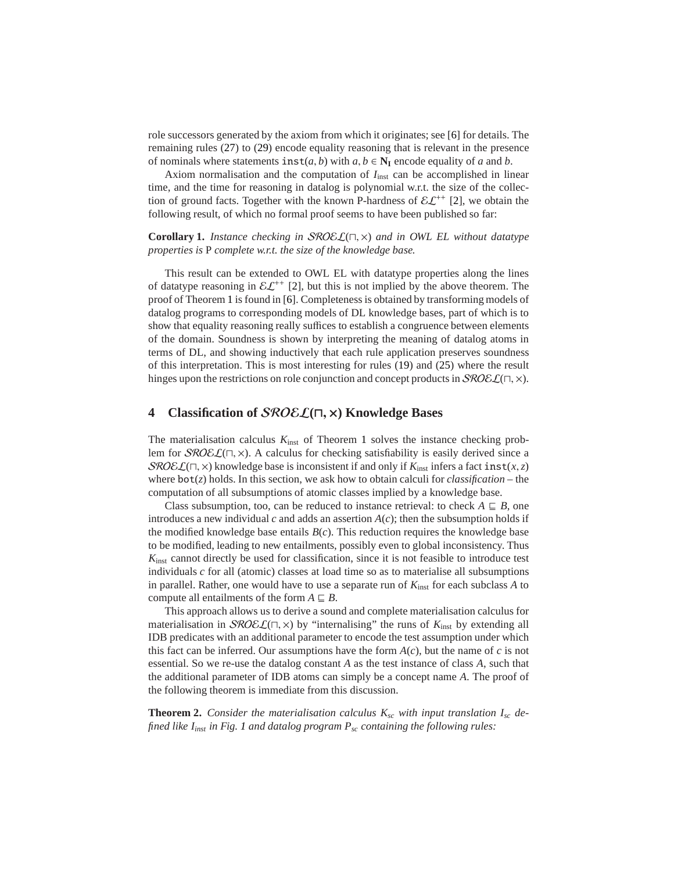role successors generated by the axiom from which it originates; see [\[6\]](#page-12-2) for details. The remaining rules [\(27\)](#page-4-8) to [\(29\)](#page-4-9) encode equality reasoning that is relevant in the presence of nominals where statements  $\text{inst}(a, b)$  with  $a, b \in \mathbb{N}_I$  encode equality of *a* and *b*.

Axiom normalisation and the computation of  $I_{inst}$  can be accomplished in linear time, and the time for reasoning in datalog is polynomial w.r.t. the size of the collection of ground facts. Together with the known P-hardness of  $\mathcal{EL}^{++}$  [\[2\]](#page-12-1), we obtain the following result, of which no formal proof seems to have been published so far:

**Corollary 1.** *Instance checking in* SROEL(⊓, ×) *and in OWL EL without datatype properties is* P *complete w.r.t. the size of the knowledge base.*

This result can be extended to OWL EL with datatype properties along the lines of datatype reasoning in  $\mathcal{EL}^{++}$  [\[2\]](#page-12-1), but this is not implied by the above theorem. The proof of Theorem [1](#page-3-2) is found in [\[6\]](#page-12-2). Completeness is obtained by transforming models of datalog programs to corresponding models of DL knowledge bases, part of which is to show that equality reasoning really suffices to establish a congruence between elements of the domain. Soundness is shown by interpreting the meaning of datalog atoms in terms of DL, and showing inductively that each rule application preserves soundness of this interpretation. This is most interesting for rules [\(19\)](#page-4-10) and [\(25\)](#page-4-11) where the result hinges upon the restrictions on role conjunction and concept products in  $\mathcal{SROEL}(\sqcap, \times)$ .

#### <span id="page-5-0"></span>**4 Classification of** SROEL**(**⊓, <sup>×</sup>**) Knowledge Bases**

The materialisation calculus  $K_{inst}$  of Theorem [1](#page-3-2) solves the instance checking problem for SROEL(⊓, ×). A calculus for checking satisfiability is easily derived since a SROEL( $\sqcap$ ,  $\times$ ) knowledge base is inconsistent if and only if  $K_{\text{inst}}$  infers a fact inst(*x*, *z*) where bot(*z*) holds. In this section, we ask how to obtain calculi for *classification* – the computation of all subsumptions of atomic classes implied by a knowledge base.

Class subsumption, too, can be reduced to instance retrieval: to check  $A \subseteq B$ , one introduces a new individual  $c$  and adds an assertion  $A(c)$ ; then the subsumption holds if the modified knowledge base entails  $B(c)$ . This reduction requires the knowledge base to be modified, leading to new entailments, possibly even to global inconsistency. Thus *K*inst cannot directly be used for classification, since it is not feasible to introduce test individuals *c* for all (atomic) classes at load time so as to materialise all subsumptions in parallel. Rather, one would have to use a separate run of  $K_{inst}$  for each subclass A to compute all entailments of the form  $A \subseteq B$ .

This approach allows us to derive a sound and complete materialisation calculus for materialisation in SROEL(⊓, ×) by "internalising" the runs of *K*inst by extending all IDB predicates with an additional parameter to encode the test assumption under which this fact can be inferred. Our assumptions have the form  $A(c)$ , but the name of c is not essential. So we re-use the datalog constant *A* as the test instance of class *A*, such that the additional parameter of IDB atoms can simply be a concept name *A*. The proof of the following theorem is immediate from this discussion.

<span id="page-5-1"></span>**Theorem 2.** *Consider the materialisation calculus Ksc with input translation Isc defined like Iinst in Fig. [1](#page-3-1) and datalog program Psc containing the following rules:*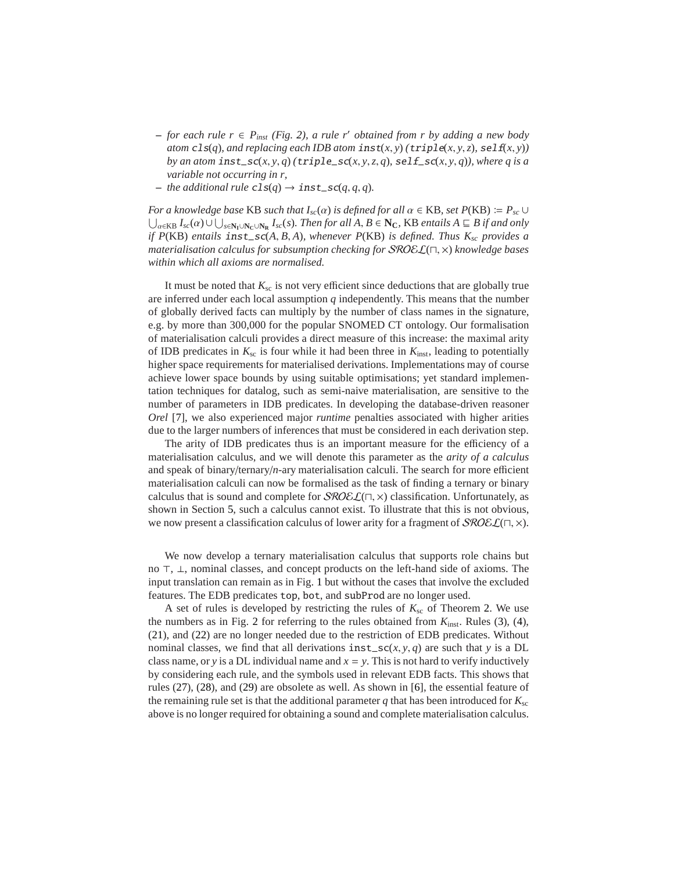- **–** *for each rule r* ∈ *Pinst (Fig. [2\)](#page-4-0), a rule r*′ *obtained from r by adding a new body atom*  $cls(q)$ *, and replacing each IDB atom inst(x, y)* ( $triple(x, y, z)$ *,*  $self(x, y)$ ) *by an atom*  $inst\_sc(x, y, q)$  *(* $triple\_sc(x, y, z, q)$ *,*  $self\_sc(x, y, q)$ *), where q is a variable not occurring in r,*
- $-$  *the additional rule*  $cls(q) \rightarrow inst\_sc(q, q, q)$ *.*

*For a knowledge base* KB *such that*  $I_{sc}(\alpha)$  *is defined for all*  $\alpha \in$  KB*, set*  $P(KB) := P_{sc} \cup$  $\bigcup_{\alpha \in KB} I_{\text{sc}}(\alpha) \cup \bigcup_{s \in N_{\text{I}} \cup N_{\text{C}} \cup N_{\text{R}}} I_{\text{sc}}(s)$ . Then for all A, B ∈ N<sub>C</sub>, KB entails A ⊑ B if and only *if P*(KB) *entails* inst\_sc(*A*, *B*, *A*)*, whenever P*(KB) *is defined. Thus Ksc provides a materialisation calculus for subsumption checking for* SROEL(⊓, ×) *knowledge bases within which all axioms are normalised.*

It must be noted that  $K_{sc}$  is not very efficient since deductions that are globally true are inferred under each local assumption *q* independently. This means that the number of globally derived facts can multiply by the number of class names in the signature, e.g. by more than 300,000 for the popular SNOMED CT ontology. Our formalisation of materialisation calculi provides a direct measure of this increase: the maximal arity of IDB predicates in  $K_{\rm sc}$  is four while it had been three in  $K_{\rm inst}$ , leading to potentially higher space requirements for materialised derivations. Implementations may of course achieve lower space bounds by using suitable optimisations; yet standard implementation techniques for datalog, such as semi-naive materialisation, are sensitive to the number of parameters in IDB predicates. In developing the database-driven reasoner *Orel* [\[7\]](#page-12-8), we also experienced major *runtime* penalties associated with higher arities due to the larger numbers of inferences that must be considered in each derivation step.

The arity of IDB predicates thus is an important measure for the efficiency of a materialisation calculus, and we will denote this parameter as the *arity of a calculus* and speak of binary/ternary/*n*-ary materialisation calculi. The search for more efficient materialisation calculi can now be formalised as the task of finding a ternary or binary calculus that is sound and complete for  $\mathcal{SROEL}(\Pi, \times)$  classification. Unfortunately, as shown in Section [5,](#page-7-0) such a calculus cannot exist. To illustrate that this is not obvious, we now present a classification calculus of lower arity for a fragment of  $\mathcal{SRO}\mathcal{EL}(\sqcap, \times)$ .

We now develop a ternary materialisation calculus that supports role chains but no ⊤, ⊥, nominal classes, and concept products on the left-hand side of axioms. The input translation can remain as in Fig. [1](#page-3-1) but without the cases that involve the excluded features. The EDB predicates top, bot, and subProd are no longer used.

<span id="page-6-0"></span>A set of rules is developed by restricting the rules of  $K_{sc}$  of Theorem [2.](#page-5-1) We use the numbers as in Fig. [2](#page-4-0) for referring to the rules obtained from  $K_{inst}$ . Rules [\(3\)](#page-4-3), [\(4\)](#page-4-5), [\(21\)](#page-4-12), and [\(22\)](#page-4-13) are no longer needed due to the restriction of EDB predicates. Without nominal classes, we find that all derivations  $inst\_sc(x, y, q)$  are such that *y* is a DL class name, or *y* is a DL individual name and  $x = y$ . This is not hard to verify inductively by considering each rule, and the symbols used in relevant EDB facts. This shows that rules [\(27\)](#page-4-8), [\(28\)](#page-4-14), and [\(29\)](#page-4-9) are obsolete as well. As shown in [\[6\]](#page-12-2), the essential feature of the remaining rule set is that the additional parameter  $q$  that has been introduced for  $K_{\rm sc}$ above is no longer required for obtaining a sound and complete materialisation calculus.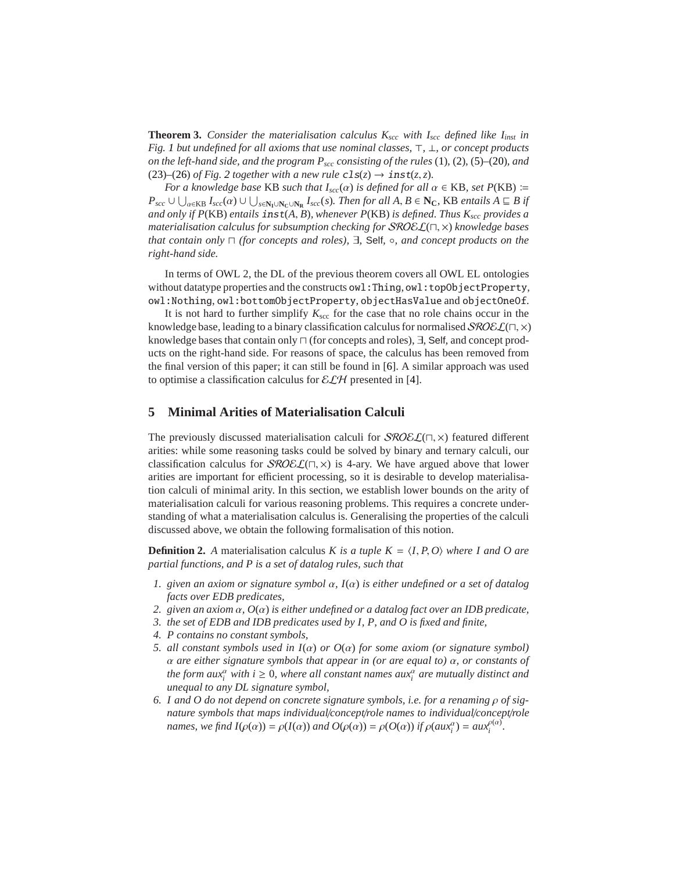**Theorem 3.** *Consider the materialisation calculus*  $K_{\text{scc}}$  *with*  $I_{\text{scc}}$  *defined like*  $I_{\text{inst}}$  *in Fig. [1](#page-3-1) but undefined for all axioms that use nominal classes,* ⊤*,* ⊥*, or concept products on the left-hand side, and the program Pscc consisting of the rules* [\(1\)](#page-4-1)*,* [\(2\)](#page-4-2)*,* [\(5\)](#page-4-15)*–*[\(20\)](#page-4-16)*, and* [\(23\)](#page-4-17)–[\(26\)](#page-4-4) *of Fig.* [2](#page-4-0) *together with a new rule*  $cls(z) \rightarrow inst(z, z)$ *.* 

*For a knowledge base* KB *such that*  $I_{\text{src}}(\alpha)$  *is defined for all*  $\alpha \in \text{KB}$ *, set*  $P(\text{KB}) \coloneqq$  $P_{\text{src}} \cup \bigcup_{\alpha \in KB} I_{\text{src}}(\alpha) \cup \bigcup_{s \in N_I \cup N_C \cup N_R} I_{\text{src}}(s)$ . Then for all  $A, B \in N_C$ , KB entails  $A \sqsubseteq B$  if *and only if P*(KB) *entails* inst(*A*, *B*)*, whenever P*(KB) *is defined. Thus Kscc provides a materialisation calculus for subsumption checking for* SROEL(⊓, ×) *knowledge bases that contain only* ⊓ *(for concepts and roles),* ∃*,* Self*,* ◦*, and concept products on the right-hand side.*

In terms of OWL 2, the DL of the previous theorem covers all OWL EL ontologies without datatype properties and the constructs owl:Thing, owl:topObjectProperty, owl:Nothing, owl:bottomObjectProperty, objectHasValue and objectOneOf.

It is not hard to further simplify  $K_{\text{sec}}$  for the case that no role chains occur in the knowledge base, leading to a binary classification calculus for normalised  $\mathcal{SRO}\epsilon\mathcal{L}(\sqcap, \times)$ knowledge bases that contain only ⊓ (for concepts and roles), ∃, Self, and concept products on the right-hand side. For reasons of space, the calculus has been removed from the final version of this paper; it can still be found in [\[6\]](#page-12-2). A similar approach was used to optimise a classification calculus for  $\mathcal{ELH}$  presented in [\[4\]](#page-12-6).

### <span id="page-7-0"></span>**5 Minimal Arities of Materialisation Calculi**

The previously discussed materialisation calculi for  $\mathcal{SROEL}(\Pi, \times)$  featured different arities: while some reasoning tasks could be solved by binary and ternary calculi, our classification calculus for  $\mathcal{SROEL}(\sqcap, \times)$  is 4-ary. We have argued above that lower arities are important for efficient processing, so it is desirable to develop materialisation calculi of minimal arity. In this section, we establish lower bounds on the arity of materialisation calculi for various reasoning problems. This requires a concrete understanding of what a materialisation calculus is. Generalising the properties of the calculi discussed above, we obtain the following formalisation of this notion.

<span id="page-7-1"></span>**Definition 2.** *A* materialisation calculus *K is a tuple K* =  $\langle I, P, O \rangle$  *where I and O are partial functions, and P is a set of datalog rules, such that*

- *1. given an axiom or signature symbol* α*, I*(α) *is either undefined or a set of datalog facts over EDB predicates,*
- *2. given an axiom* α*, O*(α) *is either undefined or a datalog fact over an IDB predicate,*
- *3. the set of EDB and IDB predicates used by I, P, and O is fixed and finite,*
- *4. P contains no constant symbols,*
- *5. all constant symbols used in I*(α) *or O*(α) *for some axiom (or signature symbol)* α *are either signature symbols that appear in (or are equal to)* α*, or constants of the form aux*<sup>*a*</sup> *with i*  $\geq$  0*, where all constant names aux<sup><i>a*</sup> are mutually distinct and *unequal to any DL signature symbol,*
- *6. I and O do not depend on concrete signature symbols, i.e. for a renaming* ρ *of signature symbols that maps individual*/*concept*/*role names to individual*/*concept*/*role names, we find*  $I(\rho(\alpha)) = \rho(I(\alpha))$  *and*  $O(\rho(\alpha)) = \rho(O(\alpha))$  *if*  $\rho(aux_i^{\alpha}) = aux_i^{\rho(\alpha)}$ *i .*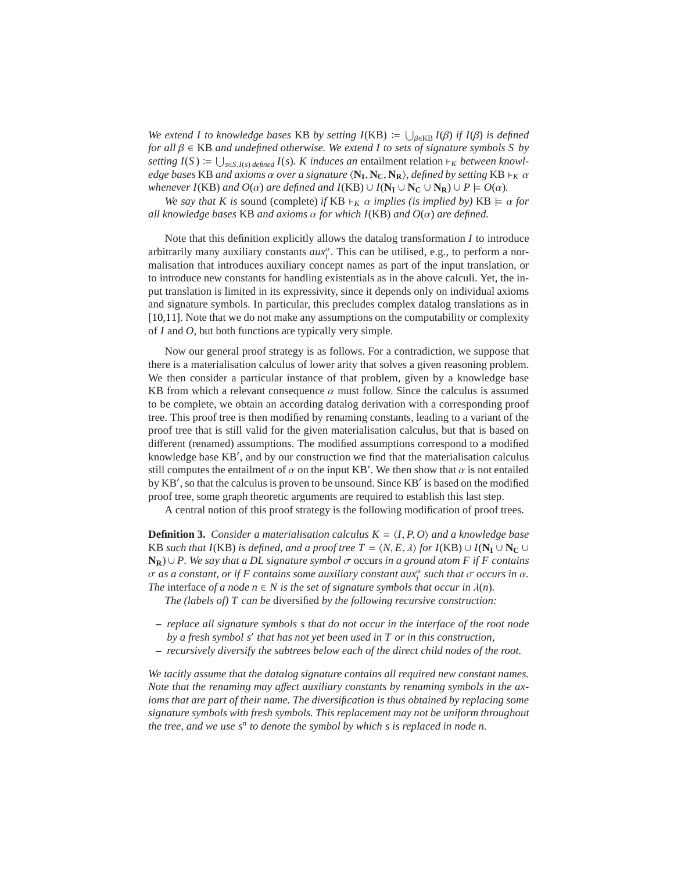We extend *I* to knowledge bases KB by setting  $I(KB) := \bigcup_{\beta \in KB} I(\beta)$  *if*  $I(\beta)$  *is defined for all* β ∈ KB *and undefined otherwise. We extend I to sets of signature symbols S by setting*  $I(S) := \bigcup_{s \in S, I(s)} \text{ defined } I(s)$ *. K induces an* entailment relation ⊢*K between knowledge bases* KB *and axioms* α *over a signature* h**N<sup>I</sup>** , **NC**, **NR**i*, defined by setting* KB ⊢*<sup>K</sup>* α *whenever I*(KB) *and O*( $\alpha$ ) *are defined and I*(KB)  $\cup$  *I*( $N_I \cup N_C \cup N_R$ )  $\cup$  *P*  $\models$  *O*( $\alpha$ ).

*We say that K is sound (complete) if* KB  $\vdash_K \alpha$  *implies (is implied by)* KB  $\models \alpha$  *for all knowledge bases* KB *and axioms* α *for which I*(KB) *and O*(α) *are defined.*

Note that this definition explicitly allows the datalog transformation *I* to introduce arbitrarily many auxiliary constants  $aux_i^{\alpha}$ . This can be utilised, e.g., to perform a normalisation that introduces auxiliary concept names as part of the input translation, or to introduce new constants for handling existentials as in the above calculi. Yet, the input translation is limited in its expressivity, since it depends only on individual axioms and signature symbols. In particular, this precludes complex datalog translations as in [\[10,](#page-12-9)[11\]](#page-12-10). Note that we do not make any assumptions on the computability or complexity of *I* and *O*, but both functions are typically very simple.

Now our general proof strategy is as follows. For a contradiction, we suppose that there is a materialisation calculus of lower arity that solves a given reasoning problem. We then consider a particular instance of that problem, given by a knowledge base KB from which a relevant consequence  $\alpha$  must follow. Since the calculus is assumed to be complete, we obtain an according datalog derivation with a corresponding proof tree. This proof tree is then modified by renaming constants, leading to a variant of the proof tree that is still valid for the given materialisation calculus, but that is based on different (renamed) assumptions. The modified assumptions correspond to a modified knowledge base KB′ , and by our construction we find that the materialisation calculus still computes the entailment of  $\alpha$  on the input KB'. We then show that  $\alpha$  is not entailed by KB′ , so that the calculus is proven to be unsound. Since KB′ is based on the modified proof tree, some graph theoretic arguments are required to establish this last step.

A central notion of this proof strategy is the following modification of proof trees.

<span id="page-8-0"></span>**Definition 3.** *Consider a materialisation calculus*  $K = \langle I, P, O \rangle$  *and a knowledge base* KB *such that I*(KB) *is defined, and a proof tree T* =  $\langle N, E, \lambda \rangle$  *for I*(KB) ∪ *I*( $N_I \cup N_C \cup$ **NR**) ∪ *P. We say that a DL signature symbol* σ occurs *in a ground atom F if F contains*  $\sigma$  *as a constant, or if F contains some auxiliary constant aux* $_i^a$  *such that*  $\sigma$  *occurs in*  $\alpha$ *. The* interface *of a node*  $n \in N$  *is the set of signature symbols that occur in*  $\lambda(n)$ *.* 

*The (labels of) T can be* diversified *by the following recursive construction:*

- **–** *replace all signature symbols s that do not occur in the interface of the root node by a fresh symbol s*′ *that has not yet been used in T or in this construction,*
- **–** *recursively diversify the subtrees below each of the direct child nodes of the root.*

*We tacitly assume that the datalog signature contains all required new constant names. Note that the renaming may a*ff*ect auxiliary constants by renaming symbols in the axioms that are part of their name. The diversification is thus obtained by replacing some signature symbols with fresh symbols. This replacement may not be uniform throughout* the tree, and we use s<sup>n</sup> to denote the symbol by which s is replaced in node n.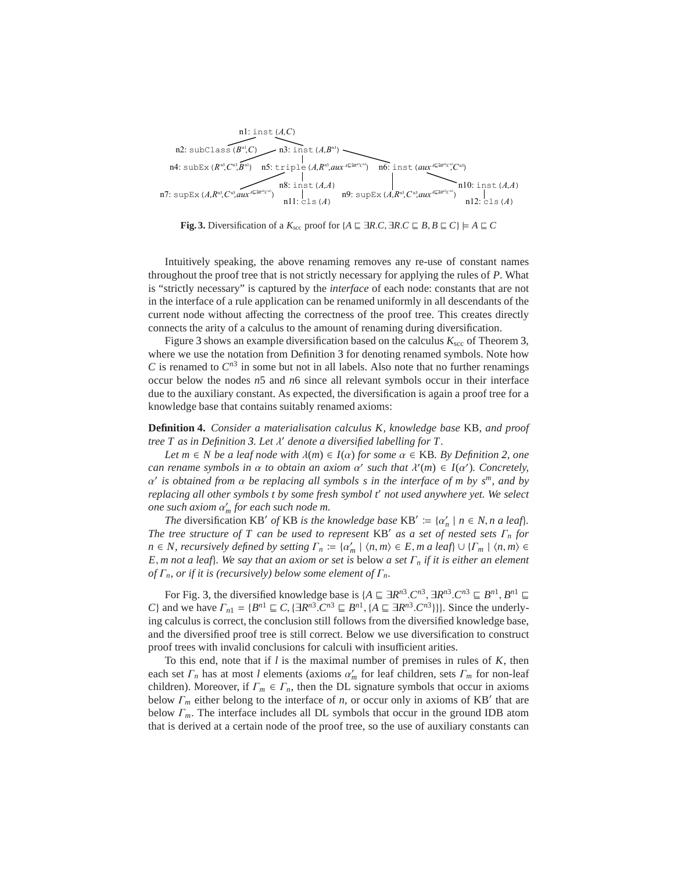

**Fig. 3.** Diversification of a  $K_{\text{sec}}$  proof for  $\{A \sqsubseteq \exists R.C, \exists R.C \sqsubseteq B, B \sqsubseteq C\} \models A \sqsubseteq C$ 

<span id="page-9-0"></span>Intuitively speaking, the above renaming removes any re-use of constant names throughout the proof tree that is not strictly necessary for applying the rules of *P*. What is "strictly necessary" is captured by the *interface* of each node: constants that are not in the interface of a rule application can be renamed uniformly in all descendants of the current node without affecting the correctness of the proof tree. This creates directly connects the arity of a calculus to the amount of renaming during diversification.

Figure [3](#page-9-0) shows an example diversification based on the calculus  $K_{\text{sec}}$  of Theorem [3,](#page-6-0) where we use the notation from Definition [3](#page-8-0) for denoting renamed symbols. Note how  $C$  is renamed to  $C^{n3}$  in some but not in all labels. Also note that no further renamings occur below the nodes *n*5 and *n*6 since all relevant symbols occur in their interface due to the auxiliary constant. As expected, the diversification is again a proof tree for a knowledge base that contains suitably renamed axioms:

<span id="page-9-1"></span>**Definition 4.** *Consider a materialisation calculus K, knowledge base* KB*, and proof tree T as in Definition [3.](#page-8-0) Let* λ ′ *denote a diversified labelling for T.*

*Let*  $m \in N$  *be a leaf node with*  $\lambda(m) \in I(\alpha)$  *for some*  $\alpha \in KB$ *. By Definition* 2*, one can rename symbols in*  $\alpha$  *to obtain an axiom*  $\alpha'$  *such that*  $\lambda'(m) \in I(\alpha')$ *. Concretely,* α ′ *is obtained from* α *be replacing all symbols s in the interface of m by s<sup>m</sup>, and by replacing all other symbols t by some fresh symbol t*′ *not used anywhere yet. We select one such axiom* α ′ *<sup>m</sup> for each such node m.*

*The* diversification KB' of KB *is the knowledge base* KB'  $:= \{\alpha'_n \mid n \in N, n \text{ a leaf}\}.$ *The tree structure of T can be used to represent* KB′ *as a set of nested sets* Γ*<sup>n</sup> for*  $n \in \mathbb{N}$ , *recursively defined by setting*  $\Gamma_n := {\alpha'_m \mid \langle n, m \rangle \in E, m \text{ a leaf}} \cup {\Gamma_m \mid \langle n, m \rangle \in E}$ *E*, *m not a leaf*}*. We say that an axiom or set is* below *a set* Γ*<sup>n</sup> if it is either an element of*  $\Gamma_n$ , *or if it is (recursively) below some element of*  $\Gamma_n$ .

For Fig. [3,](#page-9-0) the diversified knowledge base is  $\{A \sqsubseteq \exists R^{n3} \ldots C^{n3}, \exists R^{n3} \ldots C^{n3} \sqsubseteq B^{n1}, B^{n1} \sqsubseteq B^{n1} \}$ *C*} and we have  $\Gamma_{n1} = \{B^{n1} \sqsubseteq C, \{\exists R^{n3}. C^{n3} \sqsubseteq B^{n1}, \{A \sqsubseteq \exists R^{n3}. C^{n3}\}\}\}\)$ . Since the underlying calculus is correct, the conclusion still follows from the diversified knowledge base, and the diversified proof tree is still correct. Below we use diversification to construct proof trees with invalid conclusions for calculi with insufficient arities.

To this end, note that if *l* is the maximal number of premises in rules of *K*, then each set  $\Gamma_n$  has at most *l* elements (axioms  $\alpha'_m$  for leaf children, sets  $\Gamma_m$  for non-leaf children). Moreover, if  $\Gamma_m \in \Gamma_n$ , then the DL signature symbols that occur in axioms below  $\Gamma_m$  either belong to the interface of *n*, or occur only in axioms of KB' that are below Γ*m*. The interface includes all DL symbols that occur in the ground IDB atom that is derived at a certain node of the proof tree, so the use of auxiliary constants can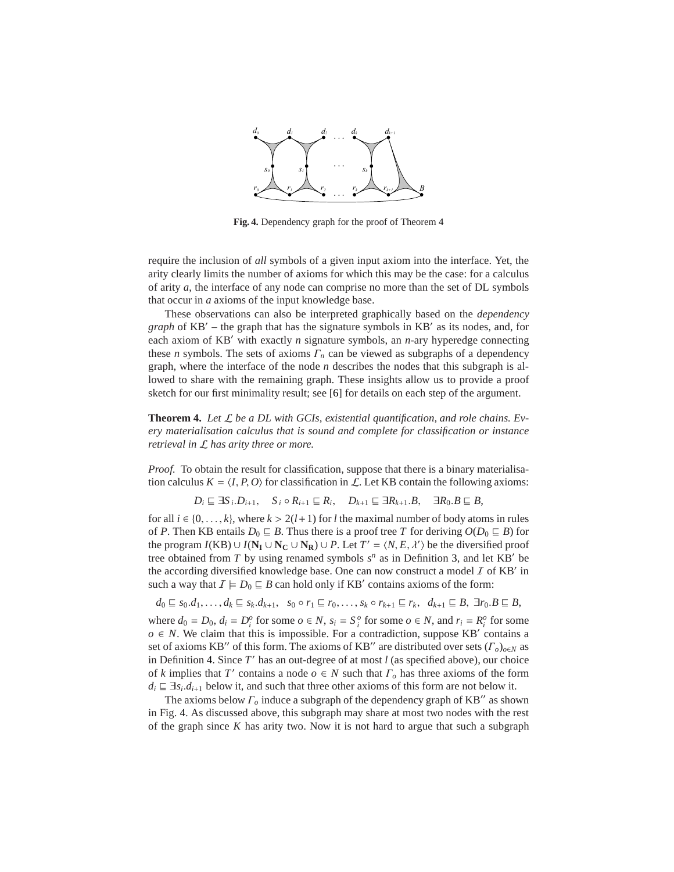

**Fig. 4.** Dependency graph for the proof of Theorem [4](#page-10-0)

<span id="page-10-1"></span>require the inclusion of *all* symbols of a given input axiom into the interface. Yet, the arity clearly limits the number of axioms for which this may be the case: for a calculus of arity *a*, the interface of any node can comprise no more than the set of DL symbols that occur in *a* axioms of the input knowledge base.

These observations can also be interpreted graphically based on the *dependency graph* of KB′ – the graph that has the signature symbols in KB′ as its nodes, and, for each axiom of KB′ with exactly *n* signature symbols, an *n*-ary hyperedge connecting these *n* symbols. The sets of axioms  $\Gamma_n$  can be viewed as subgraphs of a dependency graph, where the interface of the node *n* describes the nodes that this subgraph is allowed to share with the remaining graph. These insights allow us to provide a proof sketch for our first minimality result; see [\[6\]](#page-12-2) for details on each step of the argument.

<span id="page-10-0"></span>**Theorem 4.** *Let* L *be a DL with GCIs, existential quantification, and role chains. Every materialisation calculus that is sound and complete for classification or instance retrieval in* L *has arity three or more.*

*Proof.* To obtain the result for classification, suppose that there is a binary materialisation calculus  $K = \langle I, P, O \rangle$  for classification in L. Let KB contain the following axioms:

$$
D_i \sqsubseteq \exists S_i.D_{i+1}, \quad S_i \circ R_{i+1} \sqsubseteq R_i, \quad D_{k+1} \sqsubseteq \exists R_{k+1}.B, \quad \exists R_0.B \sqsubseteq B,
$$

for all  $i \in \{0, \ldots, k\}$ , where  $k > 2(l+1)$  for *l* the maximal number of body atoms in rules of *P*. Then KB entails  $D_0 \subseteq B$ . Thus there is a proof tree *T* for deriving  $O(D_0 \subseteq B)$  for the program *I*(KB)  $\cup I(N_I \cup N_C \cup N_R) \cup P$ . Let  $T' = \langle N, E, \lambda' \rangle$  be the diversified proof tree obtained from  $T$  by using renamed symbols  $s^n$  as in Definition [3,](#page-8-0) and let KB' be the according diversified knowledge base. One can now construct a model  $I$  of KB' in such a way that  $\mathcal{I} \models D_0 \sqsubseteq B$  can hold only if KB' contains axioms of the form:

$$
d_0 \sqsubseteq s_0.d_1,\ldots,d_k \sqsubseteq s_k.d_{k+1}, \quad s_0 \circ r_1 \sqsubseteq r_0,\ldots,s_k \circ r_{k+1} \sqsubseteq r_k, \quad d_{k+1} \sqsubseteq B, \ \exists r_0.B \sqsubseteq B,
$$

where  $d_0 = D_0$ ,  $d_i = D_i^o$  for some  $o \in N$ ,  $s_i = S_i^o$  for some  $o \in N$ , and  $r_i = R_i^o$  for some  $o \in N$ . We claim that this is impossible. For a contradiction, suppose KB' contains a set of axioms KB′′ of this form. The axioms of KB′′ are distributed over sets (Γ*o*)*o*∈*<sup>N</sup>* as in Definition [4.](#page-9-1) Since *T* ′ has an out-degree of at most *l* (as specified above), our choice of *k* implies that *T*' contains a node  $o \in N$  such that  $\Gamma_o$  has three axioms of the form  $d_i \nightharpoonup \exists s_i \ldotp d_{i+1}$  below it, and such that three other axioms of this form are not below it.

The axioms below Γ*<sup>o</sup>* induce a subgraph of the dependency graph of KB′′ as shown in Fig. [4.](#page-10-1) As discussed above, this subgraph may share at most two nodes with the rest of the graph since  $K$  has arity two. Now it is not hard to argue that such a subgraph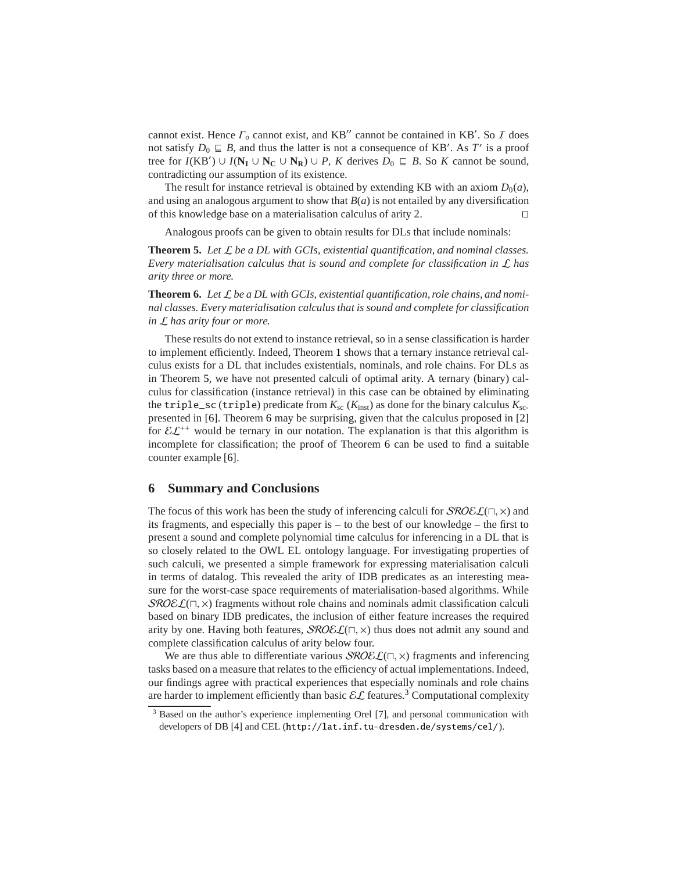cannot exist. Hence  $\Gamma_o$  cannot exist, and KB'' cannot be contained in KB'. So  $\bar{I}$  does not satisfy  $D_0 \sqsubseteq B$ , and thus the latter is not a consequence of KB'. As *T'* is a proof tree for  $I(KB') \cup I(N_I \cup N_C \cup N_R) \cup P$ , *K* derives  $D_0 \subseteq B$ . So *K* cannot be sound, contradicting our assumption of its existence.

The result for instance retrieval is obtained by extending KB with an axiom  $D_0(a)$ , and using an analogous argument to show that  $B(a)$  is not entailed by any diversification of this knowledge base on a materialisation calculus of arity 2. ⊓⊔

Analogous proofs can be given to obtain results for DLs that include nominals:

<span id="page-11-0"></span>**Theorem 5.** *Let* L *be a DL with GCIs, existential quantification, and nominal classes. Every materialisation calculus that is sound and complete for classification in* L *has arity three or more.*

<span id="page-11-1"></span>**Theorem 6.** *Let* L *be a DL with GCIs, existential quantification, role chains, and nominal classes. Every materialisation calculus that is sound and complete for classification in* L *has arity four or more.*

These results do not extend to instance retrieval, so in a sense classification is harder to implement efficiently. Indeed, Theorem [1](#page-3-2) shows that a ternary instance retrieval calculus exists for a DL that includes existentials, nominals, and role chains. For DLs as in Theorem [5,](#page-11-0) we have not presented calculi of optimal arity. A ternary (binary) calculus for classification (instance retrieval) in this case can be obtained by eliminating the triple\_sc (triple) predicate from  $K_{\rm sc}$  ( $K_{\rm inst}$ ) as done for the binary calculus  $K_{\rm sc}$ . presented in [\[6\]](#page-12-2). Theorem [6](#page-11-1) may be surprising, given that the calculus proposed in [\[2\]](#page-12-1) for  $\mathcal{EL}^{++}$  would be ternary in our notation. The explanation is that this algorithm is incomplete for classification; the proof of Theorem [6](#page-11-1) can be used to find a suitable counter example [\[6\]](#page-12-2).

#### **6 Summary and Conclusions**

The focus of this work has been the study of inferencing calculi for  $\mathcal{SROEL}(\sqcap, \times)$  and its fragments, and especially this paper is – to the best of our knowledge – the first to present a sound and complete polynomial time calculus for inferencing in a DL that is so closely related to the OWL EL ontology language. For investigating properties of such calculi, we presented a simple framework for expressing materialisation calculi in terms of datalog. This revealed the arity of IDB predicates as an interesting measure for the worst-case space requirements of materialisation-based algorithms. While  $\mathcal{SROEL}(\sqcap, \times)$  fragments without role chains and nominals admit classification calculi based on binary IDB predicates, the inclusion of either feature increases the required arity by one. Having both features,  $\mathcal{SROEL}(\square, \times)$  thus does not admit any sound and complete classification calculus of arity below four.

We are thus able to differentiate various  $\mathcal{SROEL}(\Pi, \times)$  fragments and inferencing tasks based on a measure that relates to the efficiency of actual implementations. Indeed, our findings agree with practical experiences that especially nominals and role chains are harder to implement efficiently than basic  $\mathcal{EL}$  features.<sup>[3](#page-11-2)</sup> Computational complexity

<span id="page-11-2"></span><sup>&</sup>lt;sup>3</sup> Based on the author's experience implementing Orel [\[7\]](#page-12-8), and personal communication with developers of DB [\[4\]](#page-12-6) and CEL (<http://lat.inf.tu-dresden.de/systems/cel/>).